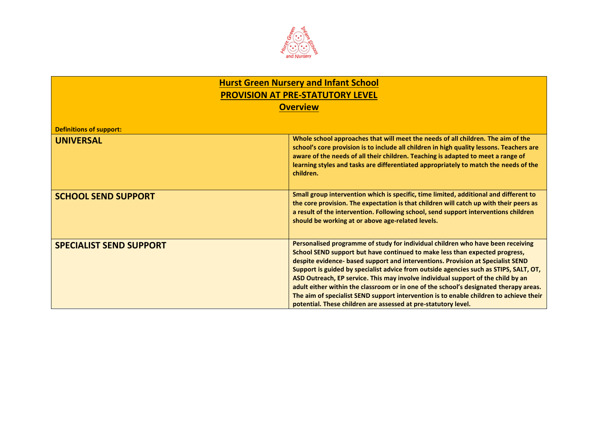

## **Hurst Green Nursery and Infant School PROVISION AT PRE-STATUTORY LEVEL Overview**

| <b>Definitions of support:</b> |                                                                                                                                                                                                                                                                                                                                                                                                                                                                                                                                                                                                                                                                                     |
|--------------------------------|-------------------------------------------------------------------------------------------------------------------------------------------------------------------------------------------------------------------------------------------------------------------------------------------------------------------------------------------------------------------------------------------------------------------------------------------------------------------------------------------------------------------------------------------------------------------------------------------------------------------------------------------------------------------------------------|
| <b>UNIVERSAL</b>               | Whole school approaches that will meet the needs of all children. The aim of the<br>school's core provision is to include all children in high quality lessons. Teachers are<br>aware of the needs of all their children. Teaching is adapted to meet a range of<br>learning styles and tasks are differentiated appropriately to match the needs of the<br>children.                                                                                                                                                                                                                                                                                                               |
| <b>SCHOOL SEND SUPPORT</b>     | Small group intervention which is specific, time limited, additional and different to<br>the core provision. The expectation is that children will catch up with their peers as<br>a result of the intervention. Following school, send support interventions children<br>should be working at or above age-related levels.                                                                                                                                                                                                                                                                                                                                                         |
| <b>SPECIALIST SEND SUPPORT</b> | Personalised programme of study for individual children who have been receiving<br>School SEND support but have continued to make less than expected progress,<br>despite evidence- based support and interventions. Provision at Specialist SEND<br>Support is guided by specialist advice from outside agencies such as STIPS, SALT, OT,<br>ASD Outreach, EP service. This may involve individual support of the child by an<br>adult either within the classroom or in one of the school's designated therapy areas.<br>The aim of specialist SEND support intervention is to enable children to achieve their<br>potential. These children are assessed at pre-statutory level. |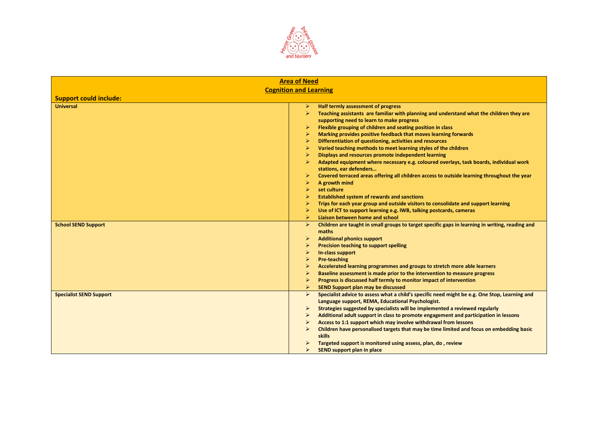

| <b>Area of Need</b>            |                                                                                                                          |  |  |
|--------------------------------|--------------------------------------------------------------------------------------------------------------------------|--|--|
| <b>Cognition and Learning</b>  |                                                                                                                          |  |  |
| <b>Support could include:</b>  |                                                                                                                          |  |  |
| <b>Universal</b>               | Half termly assessment of progress<br>➤                                                                                  |  |  |
|                                | Teaching assistants are familiar with planning and understand what the children they are<br>$\blacktriangleright$        |  |  |
|                                | supporting need to learn to make progress                                                                                |  |  |
|                                | Flexible grouping of children and seating position in class<br>➤                                                         |  |  |
|                                | Marking provides positive feedback that moves learning forwards                                                          |  |  |
|                                | Differentiation of questioning, activities and resources                                                                 |  |  |
|                                | Varied teaching methods to meet learning styles of the children                                                          |  |  |
|                                | Displays and resources promote independent learning                                                                      |  |  |
|                                | Adapted equipment where necessary e.g. coloured overlays, task boards, individual work                                   |  |  |
|                                | stations, ear defenders                                                                                                  |  |  |
|                                | Covered terraced areas offering all children access to outside learning throughout the year<br>$\blacktriangleright$     |  |  |
|                                | A growth mind                                                                                                            |  |  |
|                                | set culture<br>$\blacktriangleright$                                                                                     |  |  |
|                                | <b>Established system of rewards and sanctions</b>                                                                       |  |  |
|                                | Trips for each year group and outside visitors to consolidate and support learning<br>⋗                                  |  |  |
|                                | Use of ICT to support learning e.g. IWB, talking postcards, cameras                                                      |  |  |
|                                | $\blacktriangleright$<br>Liaison between home and school                                                                 |  |  |
| <b>School SEND Support</b>     | Children are taught in small groups to target specific gaps in learning in writing, reading and<br>$\blacktriangleright$ |  |  |
|                                | maths                                                                                                                    |  |  |
|                                | <b>Additional phonics support</b><br>⋗                                                                                   |  |  |
|                                | Precision teaching to support spelling<br>⋗                                                                              |  |  |
|                                | In-class support                                                                                                         |  |  |
|                                | $\triangleright$<br>Pre-teaching                                                                                         |  |  |
|                                | Accelerated learning programmes and groups to stretch more able learners                                                 |  |  |
|                                | Baseline assessment is made prior to the intervention to measure progress                                                |  |  |
|                                | Progress is discussed half termly to monitor impact of intervention                                                      |  |  |
|                                | SEND Support plan may be discussed<br>$\blacktriangleright$                                                              |  |  |
| <b>Specialist SEND Support</b> | Specialist advice to assess what a child's specific need might be e.g. One Stop, Learning and<br>➤                       |  |  |
|                                | Language support, REMA, Educational Psychologist.                                                                        |  |  |
|                                | $\blacktriangleright$<br>Strategies suggested by specialists will be implemented a reviewed regularly                    |  |  |
|                                | Additional adult support in class to promote engagement and participation in lessons<br>$\blacktriangleright$            |  |  |
|                                | Access to 1:1 support which may involve withdrawal from lessons<br>⋗                                                     |  |  |
|                                | Children have personalised targets that may be time limited and focus on embedding basic                                 |  |  |
|                                | skills                                                                                                                   |  |  |
|                                | Targeted support is monitored using assess, plan, do, review                                                             |  |  |
|                                | <b>SEND support plan in place</b><br>⋗                                                                                   |  |  |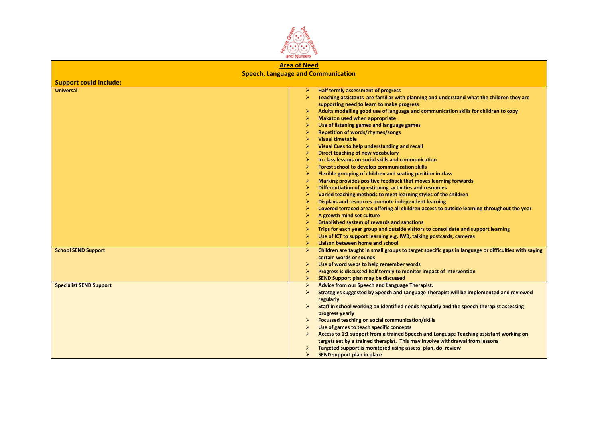

## **Area of Need Speech, Language and Communication**

| <b>Support could include:</b>  |                                                                                                                              |
|--------------------------------|------------------------------------------------------------------------------------------------------------------------------|
| <b>Universal</b>               | Half termly assessment of progress<br>⋗                                                                                      |
|                                | Teaching assistants are familiar with planning and understand what the children they are<br>⋗                                |
|                                | supporting need to learn to make progress                                                                                    |
|                                | Adults modelling good use of language and communication skills for children to copy<br>$\blacktriangleright$                 |
|                                | <b>Makaton used when appropriate</b><br>$\blacktriangleright$                                                                |
|                                | Use of listening games and language games<br>$\blacktriangleright$                                                           |
|                                | $\blacktriangleright$<br>Repetition of words/rhymes/songs                                                                    |
|                                | <b>Visual timetable</b><br>$\blacktriangleright$                                                                             |
|                                | Visual Cues to help understanding and recall<br>$\blacktriangleright$                                                        |
|                                | Direct teaching of new vocabulary<br>$\blacktriangleright$                                                                   |
|                                | In class lessons on social skills and communication<br>$\blacktriangleright$                                                 |
|                                | $\blacktriangleright$<br>Forest school to develop communication skills                                                       |
|                                | Flexible grouping of children and seating position in class<br>$\blacktriangleright$                                         |
|                                | $\blacktriangleright$<br>Marking provides positive feedback that moves learning forwards                                     |
|                                | $\blacktriangleright$<br>Differentiation of questioning, activities and resources                                            |
|                                | $\blacktriangleright$<br>Varied teaching methods to meet learning styles of the children                                     |
|                                | $\blacktriangleright$<br>Displays and resources promote independent learning                                                 |
|                                | Covered terraced areas offering all children access to outside learning throughout the year<br>$\blacktriangleright$         |
|                                | $\blacktriangleright$<br>A growth mind set culture                                                                           |
|                                | <b>Established system of rewards and sanctions</b><br>⋗                                                                      |
|                                | Trips for each year group and outside visitors to consolidate and support learning<br>➤                                      |
|                                | Use of ICT to support learning e.g. IWB, talking postcards, cameras<br>$\blacktriangleright$                                 |
|                                | $\blacktriangleright$<br>Liaison between home and school                                                                     |
| <b>School SEND Support</b>     | Children are taught in small groups to target specific gaps in language or difficulties with saying<br>$\blacktriangleright$ |
|                                | certain words or sounds                                                                                                      |
|                                | Use of word webs to help remember words<br>$\blacktriangleright$                                                             |
|                                | Progress is discussed half termly to monitor impact of intervention<br>⋗                                                     |
|                                | $\blacktriangleright$<br><b>SEND Support plan may be discussed</b>                                                           |
| <b>Specialist SEND Support</b> | Advice from our Speech and Language Therapist.<br>➤                                                                          |
|                                | Strategies suggested by Speech and Language Therapist will be implemented and reviewed<br>➤                                  |
|                                | regularly                                                                                                                    |
|                                | Staff in school working on identified needs regularly and the speech therapist assessing<br>$\blacktriangleright$            |
|                                | progress yearly                                                                                                              |
|                                | Focussed teaching on social communication/skills<br>$\blacktriangleright$                                                    |
|                                | Use of games to teach specific concepts<br>➤                                                                                 |
|                                | Access to 1:1 support from a trained Speech and Language Teaching assistant working on<br>➤                                  |
|                                | targets set by a trained therapist. This may involve withdrawal from lessons                                                 |
|                                | Targeted support is monitored using assess, plan, do, review                                                                 |
|                                | <b>SEND support plan in place</b>                                                                                            |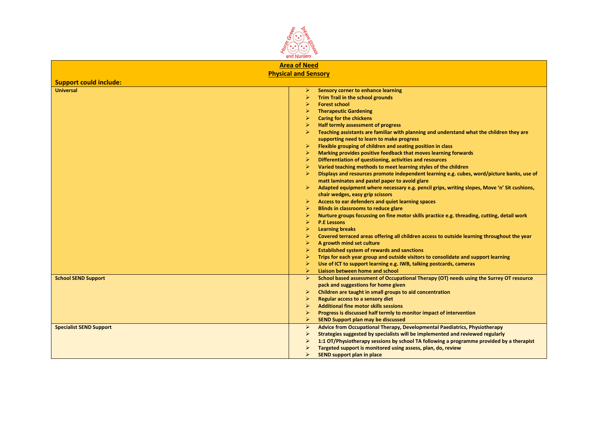

## **Area of Need Physical and Sensory**

| <b>Support could include:</b>  |                       |                                                                                             |
|--------------------------------|-----------------------|---------------------------------------------------------------------------------------------|
| <b>Universal</b>               | ⋗                     | <b>Sensory corner to enhance learning</b>                                                   |
|                                |                       | <b>Trim Trail in the school grounds</b>                                                     |
|                                |                       | <b>Forest school</b>                                                                        |
|                                |                       | <b>Therapeutic Gardening</b>                                                                |
|                                |                       | <b>Caring for the chickens</b>                                                              |
|                                | $\blacktriangleright$ | Half termly assessment of progress                                                          |
|                                |                       | Teaching assistants are familiar with planning and understand what the children they are    |
|                                |                       | supporting need to learn to make progress                                                   |
|                                | $\blacktriangleright$ | Flexible grouping of children and seating position in class                                 |
|                                | ➤                     | Marking provides positive feedback that moves learning forwards                             |
|                                | ➤                     | Differentiation of questioning, activities and resources                                    |
|                                |                       | Varied teaching methods to meet learning styles of the children                             |
|                                | ➤                     | Displays and resources promote independent learning e.g. cubes, word/picture banks, use of  |
|                                |                       | matt laminates and pastel paper to avoid glare                                              |
|                                | $\blacktriangleright$ | Adapted equipment where necessary e.g. pencil grips, writing slopes, Move 'n' Sit cushions, |
|                                |                       | chair wedges, easy grip scissors                                                            |
|                                | $\blacktriangleright$ | Access to ear defenders and quiet learning spaces                                           |
|                                | ➤                     | Blinds in classrooms to reduce glare                                                        |
|                                |                       | Nurture groups focussing on fine motor skills practice e.g. threading, cutting, detail work |
|                                | $\triangleright$      | <b>P.E Lessons</b>                                                                          |
|                                | ➤                     | <b>Learning breaks</b>                                                                      |
|                                |                       | Covered terraced areas offering all children access to outside learning throughout the year |
|                                |                       | A growth mind set culture                                                                   |
|                                | $\blacktriangleright$ | <b>Established system of rewards and sanctions</b>                                          |
|                                | ➤                     | Trips for each year group and outside visitors to consolidate and support learning          |
|                                | ⋗                     | Use of ICT to support learning e.g. IWB, talking postcards, cameras                         |
|                                | $\triangleright$      | Liaison between home and school                                                             |
| <b>School SEND Support</b>     | $\triangleright$      | School based assessment of Occupational Therapy (OT) needs using the Surrey OT resource     |
|                                |                       | pack and suggestions for home given                                                         |
|                                | ➤                     | Children are taught in small groups to aid concentration                                    |
|                                |                       | Regular access to a sensory diet                                                            |
|                                | ➤                     | <b>Additional fine motor skills sessions</b>                                                |
|                                |                       | Progress is discussed half termly to monitor impact of intervention                         |
|                                | $\triangleright$      | <b>SEND Support plan may be discussed</b>                                                   |
| <b>Specialist SEND Support</b> | $\rightarrow$         | Advice from Occupational Therapy, Developmental Paediatrics, Physiotherapy                  |
|                                |                       | Strategies suggested by specialists will be implemented and reviewed regularly              |
|                                | ➤                     | 1:1 OT/Physiotherapy sessions by school TA following a programme provided by a therapist    |
|                                |                       | Targeted support is monitored using assess, plan, do, review                                |
|                                |                       | <b>SEND support plan in place</b>                                                           |